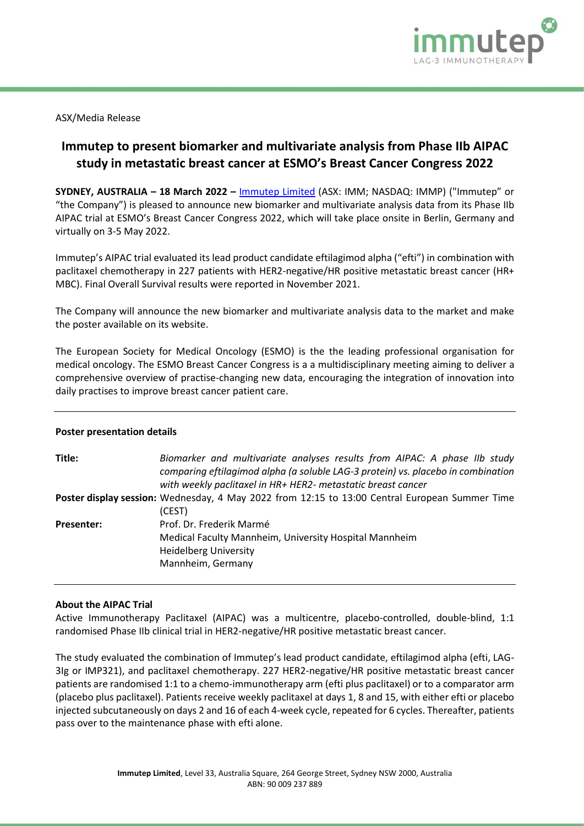

ASX/Media Release

# **Immutep to present biomarker and multivariate analysis from Phase IIb AIPAC study in metastatic breast cancer at ESMO's Breast Cancer Congress 2022**

**SYDNEY, AUSTRALIA – 18 March 2022 –** [Immutep Limited](http://www.immutep.com/) (ASX: IMM; NASDAQ: IMMP) ("Immutep" or "the Company") is pleased to announce new biomarker and multivariate analysis data from its Phase IIb AIPAC trial at ESMO's Breast Cancer Congress 2022, which will take place onsite in Berlin, Germany and virtually on 3-5 May 2022.

Immutep's AIPAC trial evaluated its lead product candidate eftilagimod alpha ("efti") in combination with paclitaxel chemotherapy in 227 patients with HER2-negative/HR positive metastatic breast cancer (HR+ MBC). Final Overall Survival results were reported in November 2021.

The Company will announce the new biomarker and multivariate analysis data to the market and make the poster available on its website.

The European Society for Medical Oncology (ESMO) is the the leading professional organisation for medical oncology. The ESMO Breast Cancer Congress is a a multidisciplinary meeting aiming to deliver a comprehensive overview of practise-changing new data, encouraging the integration of innovation into daily practises to improve breast cancer patient care.

### **Poster presentation details**

| Title:            | Biomarker and multivariate analyses results from AIPAC: A phase IIb study<br>comparing eftilagimod alpha (a soluble LAG-3 protein) vs. placebo in combination<br>with weekly paclitaxel in HR+ HER2- metastatic breast cancer |
|-------------------|-------------------------------------------------------------------------------------------------------------------------------------------------------------------------------------------------------------------------------|
|                   | Poster display session: Wednesday, 4 May 2022 from 12:15 to 13:00 Central European Summer Time<br>(CEST)                                                                                                                      |
| <b>Presenter:</b> | Prof. Dr. Frederik Marmé<br>Medical Faculty Mannheim, University Hospital Mannheim<br><b>Heidelberg University</b><br>Mannheim, Germany                                                                                       |

### **About the AIPAC Trial**

Active Immunotherapy Paclitaxel (AIPAC) was a multicentre, placebo-controlled, double-blind, 1:1 randomised Phase IIb clinical trial in HER2-negative/HR positive metastatic breast cancer.

The study evaluated the combination of Immutep's lead product candidate, eftilagimod alpha (efti, LAG-3Ig or IMP321), and paclitaxel chemotherapy. 227 HER2-negative/HR positive metastatic breast cancer patients are randomised 1:1 to a chemo-immunotherapy arm (efti plus paclitaxel) or to a comparator arm (placebo plus paclitaxel). Patients receive weekly paclitaxel at days 1, 8 and 15, with either efti or placebo injected subcutaneously on days 2 and 16 of each 4-week cycle, repeated for 6 cycles. Thereafter, patients pass over to the maintenance phase with efti alone.